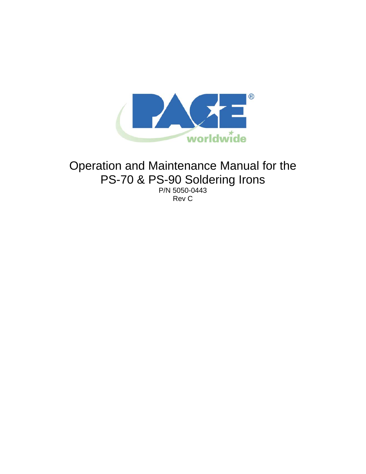

# Operation and Maintenance Manual for the PS-70 & PS-90 Soldering Irons

P/N 5050-0443 Rev C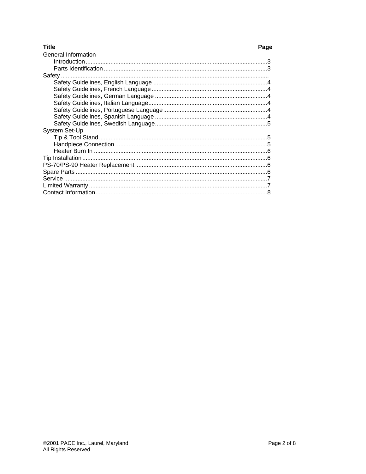| <b>Title</b>        | Page |
|---------------------|------|
| General Information |      |
|                     |      |
|                     |      |
|                     |      |
|                     |      |
|                     |      |
|                     |      |
|                     |      |
|                     |      |
|                     |      |
|                     |      |
| System Set-Up       |      |
|                     |      |
|                     |      |
|                     |      |
|                     |      |
|                     |      |
|                     |      |
|                     |      |
|                     |      |
|                     |      |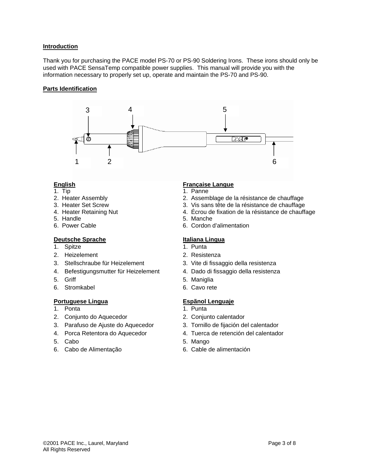#### **Introduction**

Thank you for purchasing the PACE model PS-70 or PS-90 Soldering Irons. These irons should only be used with PACE SensaTemp compatible power supplies. This manual will provide you with the information necessary to properly set up, operate and maintain the PS-70 and PS-90.

#### **Parts Identification**



- 
- 1. Tip 1. Panne
- 
- 
- 
- 5. Handle 5. Manche

### **Deutsche Sprache Italiana Lingua**

- 1. Spitze 1. Punta
- 2. Heizelement 2. Resistenza
- 
- 4. Befestigungsmutter für Heizelement 4. Dado di fissaggio della resistenza
- 
- 6. Stromkabel 6. Cavo rete

### **Portuguese Lingua Espãnol Lenguaje**

- 1. Ponta 1. Punta
- 2. Conjunto do Aquecedor 2. Conjunto calentador
- 3. Parafuso de Ajuste do Aquecedor 3. Tornillo de fijación del calentador
- 
- 
- 6. Cabo de Alimentação 6. Cable de alimentación

### **English Française Langue**

- 
- 2. Heater Assembly 2. Assemblage de la résistance de chauffage<br>2. Heater Set Screw 3. Vis sans tête de la résistance de chauffage
	- 3. Vis sans tête de la résistance de chauffage
- 4. Heater Retaining Nut de subseteurs 4. Écrou de fixation de la résistance de chauffage
	-
	- 6. Cordon d'alimentation

- 
- 
- 3. Stellschraube für Heizelement 3. Vite di fissaggio della resistenza
	-
- 5. Griff 5. Maniglia
	-

- 
- 
- 
- 4. Porca Retentora do Aquecedor 4. Tuerca de retención del calentador
- 5. Cabo 5. Mango
	-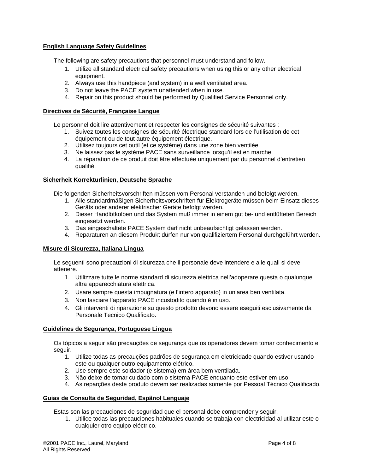### **English Language Safety Guidelines**

The following are safety precautions that personnel must understand and follow.

- 1. Utilize all standard electrical safety precautions when using this or any other electrical equipment.
- 2. Always use this handpiece (and system) in a well ventilated area.
- 3. Do not leave the PACE system unattended when in use.
- 4. Repair on this product should be performed by Qualified Service Personnel only.

#### **Directives de Sécurité, Française Langue**

Le personnel doit lire attentivement et respecter les consignes de sécurité suivantes :

- 1. Suivez toutes les consignes de sécurité électrique standard lors de l'utilisation de cet équipement ou de tout autre équipement électrique.
- 2. Utilisez toujours cet outil (et ce système) dans une zone bien ventilée.
- 3. Ne laissez pas le système PACE sans surveillance lorsqu'il est en marche.
- 4. La réparation de ce produit doit être effectuée uniquement par du personnel d'entretien qualifié.

#### **Sicherheit Korrekturlinien, Deutsche Sprache**

Die folgenden Sicherheitsvorschriften müssen vom Personal verstanden und befolgt werden.

- 1. Alle standardmäßigen Sicherheitsvorschriften für Elektrogeräte müssen beim Einsatz dieses Geräts oder anderer elektrischer Geräte befolgt werden.
- 2. Dieser Handlötkolben und das System muß immer in einem gut be- und entlüfteten Bereich eingesetzt werden.
- 3. Das eingeschaltete PACE System darf nicht unbeaufsichtigt gelassen werden.
- 4. Reparaturen an diesem Produkt dürfen nur von qualifiziertem Personal durchgeführt werden.

### **Misure di Sicurezza, Italiana Lingua**

Le seguenti sono precauzioni di sicurezza che il personale deve intendere e alle quali si deve attenere.

- 1. Utilizzare tutte le norme standard di sicurezza elettrica nell'adoperare questa o qualunque altra apparecchiatura elettrica.
- 2. Usare sempre questa impugnatura (e l'intero apparato) in un'area ben ventilata.
- 3. Non lasciare l'apparato PACE incustodito quando è in uso.
- 4. Gli interventi di riparazione su questo prodotto devono essere eseguiti esclusivamente da Personale Tecnico Qualificato.

#### **Guidelines de Segurança, Portuguese Lingua**

Os tópicos a seguir são precauções de segurança que os operadores devem tomar conhecimento e seguir.

- 1. Utilize todas as precauções padrões de segurança em eletricidade quando estiver usando este ou qualquer outro equipamento elétrico.
- 2. Use sempre este soldador (e sistema) em área bem ventilada.
- 3. Não deixe de tomar cuidado com o sistema PACE enquanto este estiver em uso.
- 4. As reparções deste produto devem ser realizadas somente por Pessoal Técnico Qualificado.

#### **Guias de Consulta de Seguridad, Espãnol Lenguaje**

Estas son las precauciones de seguridad que el personal debe comprender y seguir.

1. Utilice todas las precauciones habituales cuando se trabaja con electricidad al utilizar este o cualquier otro equipo eléctrico.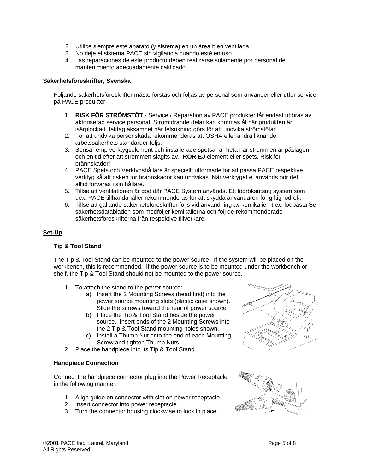- 2. Utilice siempre este aparato (y sistema) en un área bien ventilada.
- 3. No deje el sistema PACE sin vigilancia cuando esté en uso.
- 4. Las reparaciones de este producto deben realizarse solamente por personal de mantenimiento adecuadamente calificado.

#### **Säkerhetsföreskrifter, Svenska**

Följande säkerhetsföreskrifter måste förstås och följas av personal som använder eller utför service på PACE produkter.

- 1. **RISK FÖR STRÖMSTÖT** Service / Reparation av PACE produkter får endast utföras av aktoriserad service personal. Strömförande delar kan kommas åt när produkten är isärplockad. Iaktag aksamhet när felsökning görs för att undvika strömstötar.
- 2. För att undvika personskada rekommenderas att OSHA eller andra liknande arbetssäkerhets standarder följs.
- 3. SensaTemp verktygselement och installerade spetsar är heta när strömmen är påslagen och en tid efter att strömmen slagits av. **RÖR EJ** element eller spets. Risk för brännskador!
- 4. PACE Spets och Verktygshållare är speciellt utformade för att passa PACE respektive verktyg så att risken för brännskador kan undvikas. När verktyget ej används bör det alltid förvaras i sin hållare.
- 5. Tillse att ventilationen är god där PACE System används. Ett lödröksutsug system som t.ex. PACE tillhandahåller rekommenderas för att skydda användaren för giftig lödrök.
- 6. Tillse att gällande säkerhetsföreskrifter följs vid användning av kemikalier, t.ex. lodpasta.Se säkerhetsdatabladen som medföljer kemikalierna och följ de rekommenderade säkerhetsföreskrifterna från respektive tillverkare.

### **Set-Up**

#### **Tip & Tool Stand**

The Tip & Tool Stand can be mounted to the power source. If the system will be placed on the workbench, this is recommended. If the power source is to be mounted under the workbench or shelf, the Tip & Tool Stand should not be mounted to the power source.

- 1. To attach the stand to the power source:
	- a) Insert the 2 Mounting Screws (head first) into the power source mounting slots (plastic case shown). Slide the screws toward the rear of power source.
	- b) Place the Tip & Tool Stand beside the power source. Insert ends of the 2 Mounting Screws into the 2 Tip & Tool Stand mounting holes shown.
	- c) Install a Thumb Nut onto the end of each Mounting Screw and tighten Thumb Nuts.
- 2. Place the handpiece into its Tip & Tool Stand.

#### **Handpiece Connection**

Connect the handpiece connector plug into the Power Receptacle in the following manner.

- 1. Align guide on connector with slot on power receptacle.
- 2. Insert connector into power receptacle.
- 3. Turn the connector housing clockwise to lock in place.



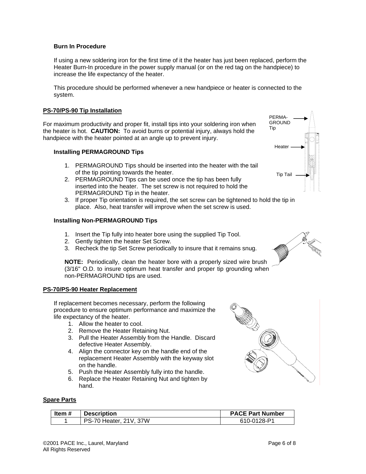# **Burn In Procedure**

If using a new soldering iron for the first time of it the heater has just been replaced, perform the Heater Burn-In procedure in the power supply manual (or on the red tag on the handpiece) to increase the life expectancy of the heater.

This procedure should be performed whenever a new handpiece or heater is connected to the system.

# **PS-70/PS-90 Tip Installation**

For maximum productivity and proper fit, install tips into your soldering iron when the heater is hot. **CAUTION:** To avoid burns or potential injury, always hold the handpiece with the heater pointed at an angle up to prevent injury.

# **Installing PERMAGROUND Tips**

- 1. PERMAGROUND Tips should be inserted into the heater with the tail of the tip pointing towards the heater.
- 2. PERMAGROUND Tips can be used once the tip has been fully inserted into the heater. The set screw is not required to hold the PERMAGROUND Tip in the heater.
- 3. If proper Tip orientation is required, the set screw can be tightened to hold the tip in place. Also, heat transfer will improve when the set screw is used.

# **Installing Non-PERMAGROUND Tips**

- 1. Insert the Tip fully into heater bore using the supplied Tip Tool.
- 2. Gently tighten the heater Set Screw.
- 3. Recheck the tip Set Screw periodically to insure that it remains snug.

**NOTE:** Periodically, clean the heater bore with a properly sized wire brush (3/16" O.D. to insure optimum heat transfer and proper tip grounding when non-PERMAGROUND tips are used.

# **PS-70/PS-90 Heater Replacement**

If replacement becomes necessary, perform the following procedure to ensure optimum performance and maximize the life expectancy of the heater.

- 1. Allow the heater to cool.
- 2. Remove the Heater Retaining Nut.
- 3. Pull the Heater Assembly from the Handle. Discard defective Heater Assembly.
- 4. Align the connector key on the handle end of the replacement Heater Assembly with the keyway slot on the handle.
- 5. Push the Heater Assembly fully into the handle.
- 6. Replace the Heater Retaining Nut and tighten by hand.

# **Spare Parts**

| Item # | <b>Description</b>            | <b>PACE Part Number</b> |
|--------|-------------------------------|-------------------------|
|        | <b>PS-70 Heater, 21V, 37W</b> | 610-0128-P1             |





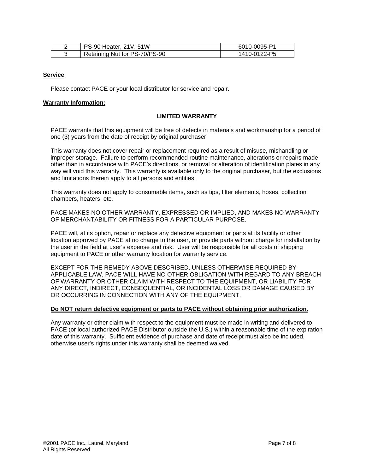| PS-90 Heater, 21V, 51W        | 6010-0095-P1 |
|-------------------------------|--------------|
| Retaining Nut for PS-70/PS-90 | 1410-0122-P5 |

#### **Service**

Please contact PACE or your local distributor for service and repair.

#### **Warranty Information:**

#### **LIMITED WARRANTY**

PACE warrants that this equipment will be free of defects in materials and workmanship for a period of one (3) years from the date of receipt by original purchaser.

This warranty does not cover repair or replacement required as a result of misuse, mishandling or improper storage. Failure to perform recommended routine maintenance, alterations or repairs made other than in accordance with PACE's directions, or removal or alteration of identification plates in any way will void this warranty. This warranty is available only to the original purchaser, but the exclusions and limitations therein apply to all persons and entities.

This warranty does not apply to consumable items, such as tips, filter elements, hoses, collection chambers, heaters, etc.

PACE MAKES NO OTHER WARRANTY, EXPRESSED OR IMPLIED, AND MAKES NO WARRANTY OF MERCHANTABILITY OR FITNESS FOR A PARTICULAR PURPOSE.

PACE will, at its option, repair or replace any defective equipment or parts at its facility or other location approved by PACE at no charge to the user, or provide parts without charge for installation by the user in the field at user's expense and risk. User will be responsible for all costs of shipping equipment to PACE or other warranty location for warranty service.

EXCEPT FOR THE REMEDY ABOVE DESCRIBED, UNLESS OTHERWISE REQUIRED BY APPLICABLE LAW, PACE WILL HAVE NO OTHER OBLIGATION WITH REGARD TO ANY BREACH OF WARRANTY OR OTHER CLAIM WITH RESPECT TO THE EQUIPMENT, OR LIABILITY FOR ANY DIRECT, INDIRECT, CONSEQUENTIAL, OR INCIDENTAL LOSS OR DAMAGE CAUSED BY OR OCCURRING IN CONNECTION WITH ANY OF THE EQUIPMENT.

#### **Do NOT return defective equipment or parts to PACE without obtaining prior authorization.**

Any warranty or other claim with respect to the equipment must be made in writing and delivered to PACE (or local authorized PACE Distributor outside the U.S.) within a reasonable time of the expiration date of this warranty. Sufficient evidence of purchase and date of receipt must also be included, otherwise user's rights under this warranty shall be deemed waived.